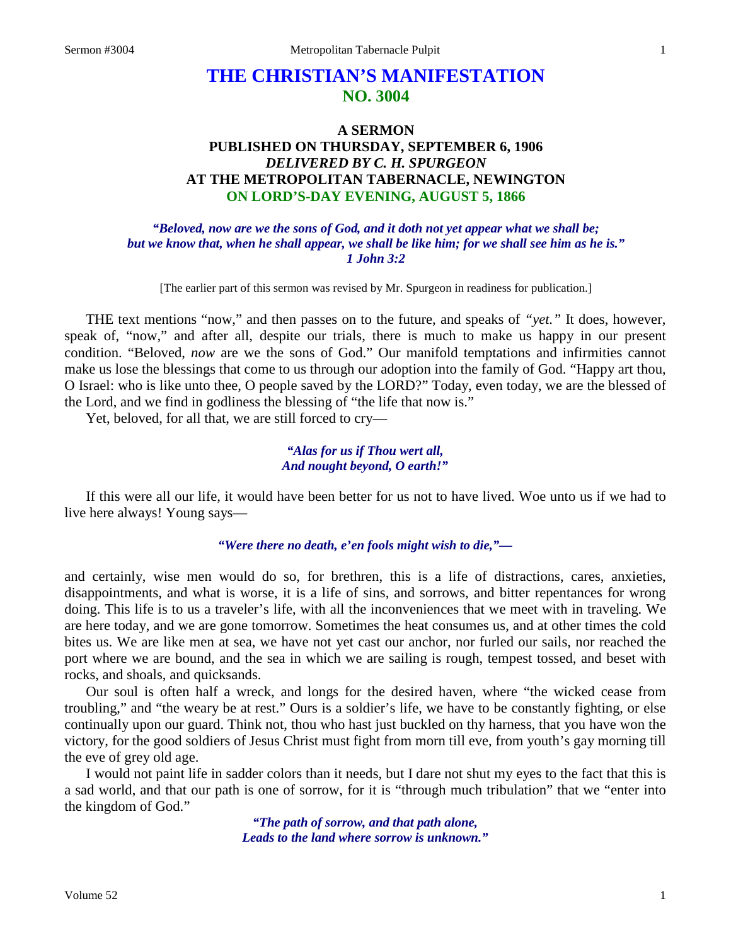# **THE CHRISTIAN'S MANIFESTATION NO. 3004**

# **A SERMON PUBLISHED ON THURSDAY, SEPTEMBER 6, 1906** *DELIVERED BY C. H. SPURGEON* **AT THE METROPOLITAN TABERNACLE, NEWINGTON ON LORD'S-DAY EVENING, AUGUST 5, 1866**

*"Beloved, now are we the sons of God, and it doth not yet appear what we shall be; but we know that, when he shall appear, we shall be like him; for we shall see him as he is." 1 John 3:2*

[The earlier part of this sermon was revised by Mr. Spurgeon in readiness for publication.]

THE text mentions "now," and then passes on to the future, and speaks of *"yet."* It does, however, speak of, "now," and after all, despite our trials, there is much to make us happy in our present condition. "Beloved, *now* are we the sons of God." Our manifold temptations and infirmities cannot make us lose the blessings that come to us through our adoption into the family of God. "Happy art thou, O Israel: who is like unto thee, O people saved by the LORD?" Today, even today, we are the blessed of the Lord, and we find in godliness the blessing of "the life that now is."

Yet, beloved, for all that, we are still forced to cry—

## *"Alas for us if Thou wert all, And nought beyond, O earth!"*

If this were all our life, it would have been better for us not to have lived. Woe unto us if we had to live here always! Young says—

*"Were there no death, e'en fools might wish to die,"—*

and certainly, wise men would do so, for brethren, this is a life of distractions, cares, anxieties, disappointments, and what is worse, it is a life of sins, and sorrows, and bitter repentances for wrong doing. This life is to us a traveler's life, with all the inconveniences that we meet with in traveling. We are here today, and we are gone tomorrow. Sometimes the heat consumes us, and at other times the cold bites us. We are like men at sea, we have not yet cast our anchor, nor furled our sails, nor reached the port where we are bound, and the sea in which we are sailing is rough, tempest tossed, and beset with rocks, and shoals, and quicksands.

Our soul is often half a wreck, and longs for the desired haven, where "the wicked cease from troubling," and "the weary be at rest." Ours is a soldier's life, we have to be constantly fighting, or else continually upon our guard. Think not, thou who hast just buckled on thy harness, that you have won the victory, for the good soldiers of Jesus Christ must fight from morn till eve, from youth's gay morning till the eve of grey old age.

I would not paint life in sadder colors than it needs, but I dare not shut my eyes to the fact that this is a sad world, and that our path is one of sorrow, for it is "through much tribulation" that we "enter into the kingdom of God."

> *"The path of sorrow, and that path alone, Leads to the land where sorrow is unknown."*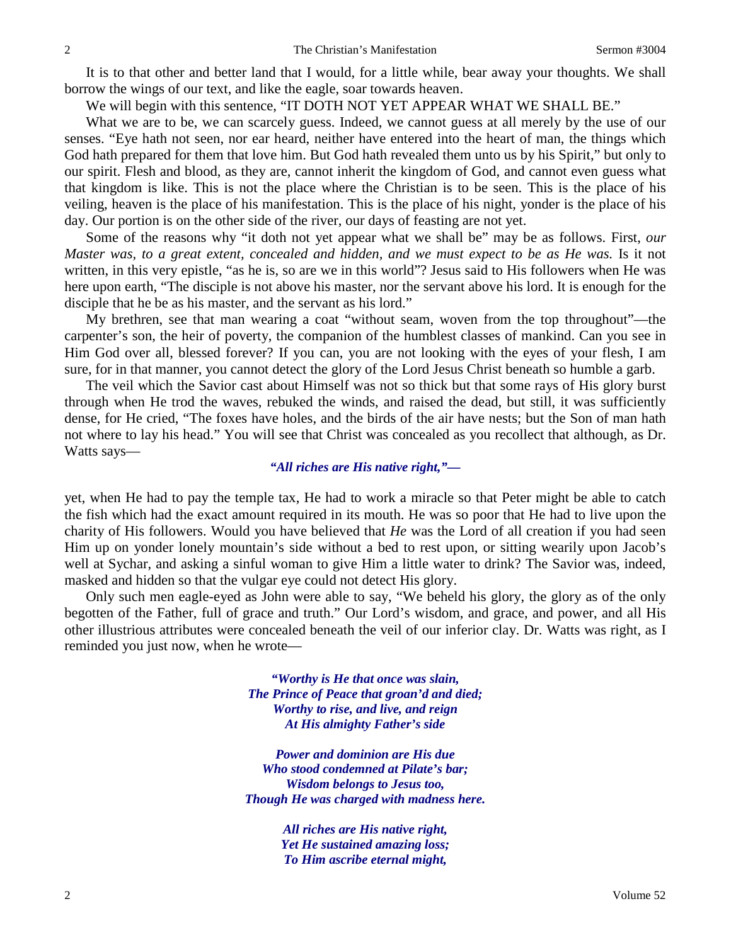It is to that other and better land that I would, for a little while, bear away your thoughts. We shall borrow the wings of our text, and like the eagle, soar towards heaven.

We will begin with this sentence, "IT DOTH NOT YET APPEAR WHAT WE SHALL BE."

What we are to be, we can scarcely guess. Indeed, we cannot guess at all merely by the use of our senses. "Eye hath not seen, nor ear heard, neither have entered into the heart of man, the things which God hath prepared for them that love him. But God hath revealed them unto us by his Spirit," but only to our spirit. Flesh and blood, as they are, cannot inherit the kingdom of God, and cannot even guess what that kingdom is like. This is not the place where the Christian is to be seen. This is the place of his veiling, heaven is the place of his manifestation. This is the place of his night, yonder is the place of his day. Our portion is on the other side of the river, our days of feasting are not yet.

Some of the reasons why "it doth not yet appear what we shall be" may be as follows. First, *our Master was, to a great extent, concealed and hidden, and we must expect to be as He was.* Is it not written, in this very epistle, "as he is, so are we in this world"? Jesus said to His followers when He was here upon earth, "The disciple is not above his master, nor the servant above his lord. It is enough for the disciple that he be as his master, and the servant as his lord."

My brethren, see that man wearing a coat "without seam, woven from the top throughout"—the carpenter's son, the heir of poverty, the companion of the humblest classes of mankind. Can you see in Him God over all, blessed forever? If you can, you are not looking with the eyes of your flesh, I am sure, for in that manner, you cannot detect the glory of the Lord Jesus Christ beneath so humble a garb.

The veil which the Savior cast about Himself was not so thick but that some rays of His glory burst through when He trod the waves, rebuked the winds, and raised the dead, but still, it was sufficiently dense, for He cried, "The foxes have holes, and the birds of the air have nests; but the Son of man hath not where to lay his head." You will see that Christ was concealed as you recollect that although, as Dr. Watts says—

# *"All riches are His native right,"—*

yet, when He had to pay the temple tax, He had to work a miracle so that Peter might be able to catch the fish which had the exact amount required in its mouth. He was so poor that He had to live upon the charity of His followers. Would you have believed that *He* was the Lord of all creation if you had seen Him up on yonder lonely mountain's side without a bed to rest upon, or sitting wearily upon Jacob's well at Sychar, and asking a sinful woman to give Him a little water to drink? The Savior was, indeed, masked and hidden so that the vulgar eye could not detect His glory.

Only such men eagle-eyed as John were able to say, "We beheld his glory, the glory as of the only begotten of the Father, full of grace and truth." Our Lord's wisdom, and grace, and power, and all His other illustrious attributes were concealed beneath the veil of our inferior clay. Dr. Watts was right, as I reminded you just now, when he wrote—

> *"Worthy is He that once was slain, The Prince of Peace that groan'd and died; Worthy to rise, and live, and reign At His almighty Father's side*

*Power and dominion are His due Who stood condemned at Pilate's bar; Wisdom belongs to Jesus too, Though He was charged with madness here.*

> *All riches are His native right, Yet He sustained amazing loss; To Him ascribe eternal might,*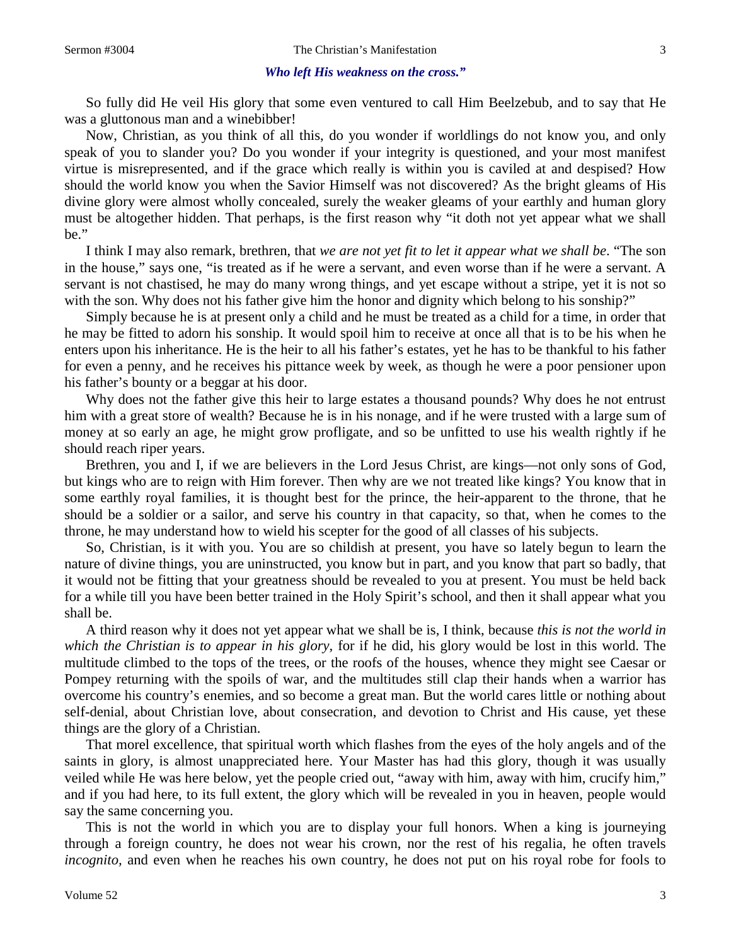#### *Who left His weakness on the cross."*

So fully did He veil His glory that some even ventured to call Him Beelzebub, and to say that He was a gluttonous man and a winebibber!

Now, Christian, as you think of all this, do you wonder if worldlings do not know you, and only speak of you to slander you? Do you wonder if your integrity is questioned, and your most manifest virtue is misrepresented, and if the grace which really is within you is caviled at and despised? How should the world know you when the Savior Himself was not discovered? As the bright gleams of His divine glory were almost wholly concealed, surely the weaker gleams of your earthly and human glory must be altogether hidden. That perhaps, is the first reason why "it doth not yet appear what we shall be."

I think I may also remark, brethren, that *we are not yet fit to let it appear what we shall be*. "The son in the house," says one, "is treated as if he were a servant, and even worse than if he were a servant. A servant is not chastised, he may do many wrong things, and yet escape without a stripe, yet it is not so with the son. Why does not his father give him the honor and dignity which belong to his sonship?"

Simply because he is at present only a child and he must be treated as a child for a time, in order that he may be fitted to adorn his sonship. It would spoil him to receive at once all that is to be his when he enters upon his inheritance. He is the heir to all his father's estates, yet he has to be thankful to his father for even a penny, and he receives his pittance week by week, as though he were a poor pensioner upon his father's bounty or a beggar at his door.

Why does not the father give this heir to large estates a thousand pounds? Why does he not entrust him with a great store of wealth? Because he is in his nonage, and if he were trusted with a large sum of money at so early an age, he might grow profligate, and so be unfitted to use his wealth rightly if he should reach riper years.

Brethren, you and I, if we are believers in the Lord Jesus Christ, are kings—not only sons of God, but kings who are to reign with Him forever. Then why are we not treated like kings? You know that in some earthly royal families, it is thought best for the prince, the heir-apparent to the throne, that he should be a soldier or a sailor, and serve his country in that capacity, so that, when he comes to the throne, he may understand how to wield his scepter for the good of all classes of his subjects.

So, Christian, is it with you. You are so childish at present, you have so lately begun to learn the nature of divine things, you are uninstructed, you know but in part, and you know that part so badly, that it would not be fitting that your greatness should be revealed to you at present. You must be held back for a while till you have been better trained in the Holy Spirit's school, and then it shall appear what you shall be.

A third reason why it does not yet appear what we shall be is, I think, because *this is not the world in which the Christian is to appear in his glory,* for if he did, his glory would be lost in this world. The multitude climbed to the tops of the trees, or the roofs of the houses, whence they might see Caesar or Pompey returning with the spoils of war, and the multitudes still clap their hands when a warrior has overcome his country's enemies, and so become a great man. But the world cares little or nothing about self-denial, about Christian love, about consecration, and devotion to Christ and His cause, yet these things are the glory of a Christian.

That morel excellence, that spiritual worth which flashes from the eyes of the holy angels and of the saints in glory, is almost unappreciated here. Your Master has had this glory, though it was usually veiled while He was here below, yet the people cried out, "away with him, away with him, crucify him," and if you had here, to its full extent, the glory which will be revealed in you in heaven, people would say the same concerning you.

This is not the world in which you are to display your full honors. When a king is journeying through a foreign country, he does not wear his crown, nor the rest of his regalia, he often travels *incognito,* and even when he reaches his own country, he does not put on his royal robe for fools to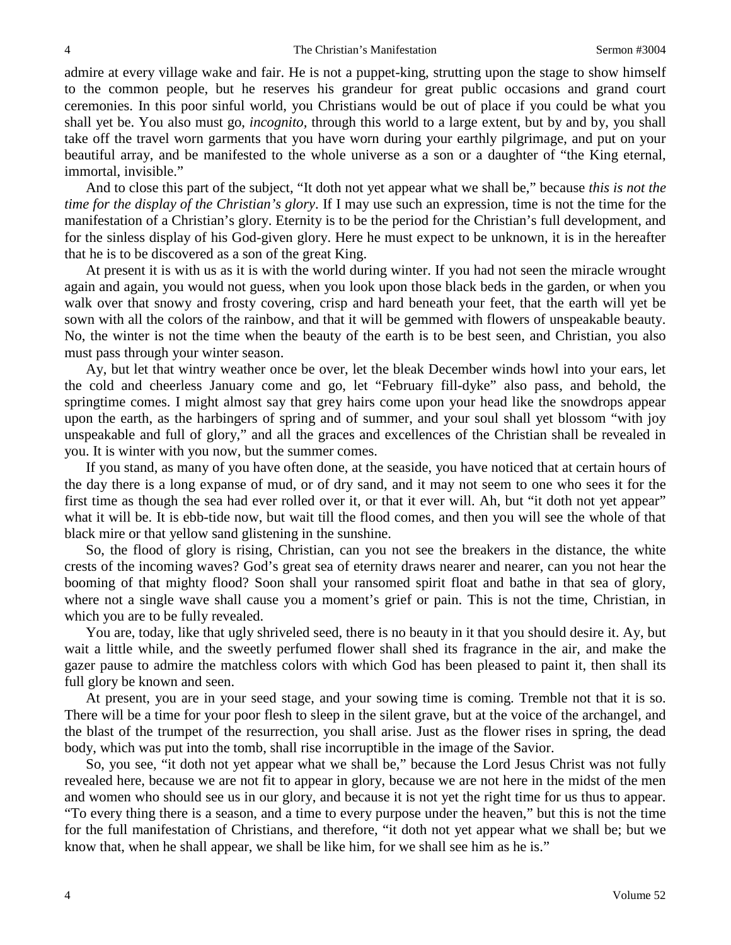admire at every village wake and fair. He is not a puppet-king, strutting upon the stage to show himself to the common people, but he reserves his grandeur for great public occasions and grand court ceremonies. In this poor sinful world, you Christians would be out of place if you could be what you shall yet be. You also must go, *incognito,* through this world to a large extent, but by and by, you shall take off the travel worn garments that you have worn during your earthly pilgrimage, and put on your beautiful array, and be manifested to the whole universe as a son or a daughter of "the King eternal, immortal, invisible."

And to close this part of the subject, "It doth not yet appear what we shall be," because *this is not the time for the display of the Christian's glory*. If I may use such an expression, time is not the time for the manifestation of a Christian's glory. Eternity is to be the period for the Christian's full development, and for the sinless display of his God-given glory. Here he must expect to be unknown, it is in the hereafter that he is to be discovered as a son of the great King.

At present it is with us as it is with the world during winter. If you had not seen the miracle wrought again and again, you would not guess, when you look upon those black beds in the garden, or when you walk over that snowy and frosty covering, crisp and hard beneath your feet, that the earth will yet be sown with all the colors of the rainbow, and that it will be gemmed with flowers of unspeakable beauty. No, the winter is not the time when the beauty of the earth is to be best seen, and Christian, you also must pass through your winter season.

Ay, but let that wintry weather once be over, let the bleak December winds howl into your ears, let the cold and cheerless January come and go, let "February fill-dyke" also pass, and behold, the springtime comes. I might almost say that grey hairs come upon your head like the snowdrops appear upon the earth, as the harbingers of spring and of summer, and your soul shall yet blossom "with joy unspeakable and full of glory," and all the graces and excellences of the Christian shall be revealed in you. It is winter with you now, but the summer comes.

If you stand, as many of you have often done, at the seaside, you have noticed that at certain hours of the day there is a long expanse of mud, or of dry sand, and it may not seem to one who sees it for the first time as though the sea had ever rolled over it, or that it ever will. Ah, but "it doth not yet appear" what it will be. It is ebb-tide now, but wait till the flood comes, and then you will see the whole of that black mire or that yellow sand glistening in the sunshine.

So, the flood of glory is rising, Christian, can you not see the breakers in the distance, the white crests of the incoming waves? God's great sea of eternity draws nearer and nearer, can you not hear the booming of that mighty flood? Soon shall your ransomed spirit float and bathe in that sea of glory, where not a single wave shall cause you a moment's grief or pain. This is not the time, Christian, in which you are to be fully revealed.

You are, today, like that ugly shriveled seed, there is no beauty in it that you should desire it. Ay, but wait a little while, and the sweetly perfumed flower shall shed its fragrance in the air, and make the gazer pause to admire the matchless colors with which God has been pleased to paint it, then shall its full glory be known and seen.

At present, you are in your seed stage, and your sowing time is coming. Tremble not that it is so. There will be a time for your poor flesh to sleep in the silent grave, but at the voice of the archangel, and the blast of the trumpet of the resurrection, you shall arise. Just as the flower rises in spring, the dead body, which was put into the tomb, shall rise incorruptible in the image of the Savior.

So, you see, "it doth not yet appear what we shall be," because the Lord Jesus Christ was not fully revealed here, because we are not fit to appear in glory, because we are not here in the midst of the men and women who should see us in our glory, and because it is not yet the right time for us thus to appear. "To every thing there is a season, and a time to every purpose under the heaven," but this is not the time for the full manifestation of Christians, and therefore, "it doth not yet appear what we shall be; but we know that, when he shall appear, we shall be like him, for we shall see him as he is."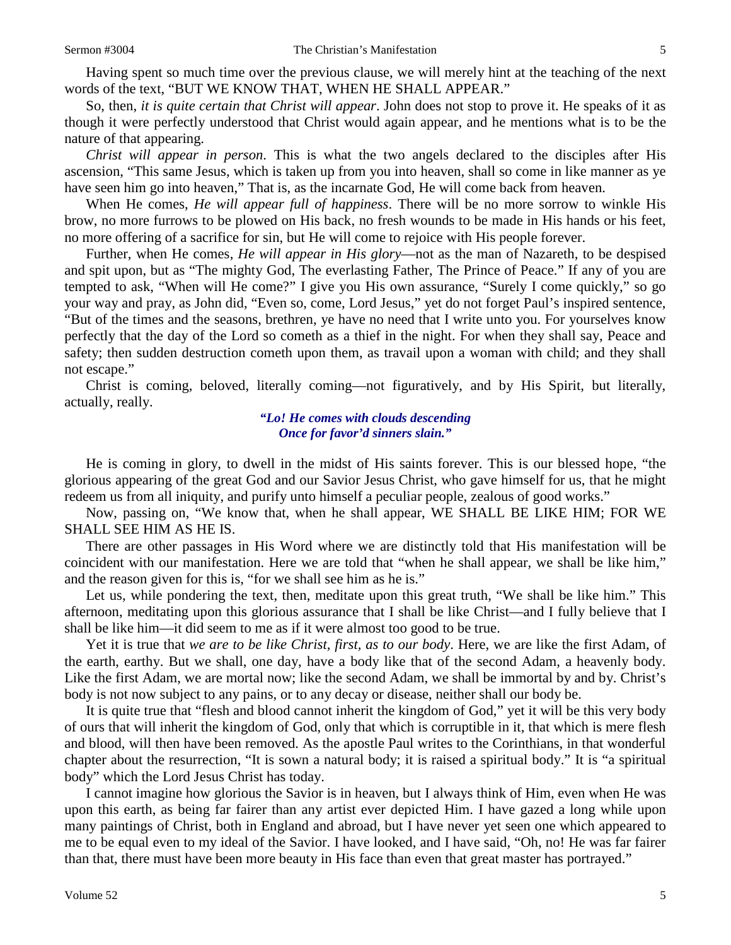Having spent so much time over the previous clause, we will merely hint at the teaching of the next words of the text, "BUT WE KNOW THAT, WHEN HE SHALL APPEAR."

So, then, *it is quite certain that Christ will appear*. John does not stop to prove it. He speaks of it as though it were perfectly understood that Christ would again appear, and he mentions what is to be the nature of that appearing.

*Christ will appear in person*. This is what the two angels declared to the disciples after His ascension, "This same Jesus, which is taken up from you into heaven, shall so come in like manner as ye have seen him go into heaven," That is, as the incarnate God, He will come back from heaven.

When He comes, *He will appear full of happiness*. There will be no more sorrow to winkle His brow, no more furrows to be plowed on His back, no fresh wounds to be made in His hands or his feet, no more offering of a sacrifice for sin, but He will come to rejoice with His people forever.

Further, when He comes, *He will appear in His glory*—not as the man of Nazareth, to be despised and spit upon, but as "The mighty God, The everlasting Father, The Prince of Peace." If any of you are tempted to ask, "When will He come?" I give you His own assurance, "Surely I come quickly," so go your way and pray, as John did, "Even so, come, Lord Jesus," yet do not forget Paul's inspired sentence, "But of the times and the seasons, brethren, ye have no need that I write unto you. For yourselves know perfectly that the day of the Lord so cometh as a thief in the night. For when they shall say, Peace and safety; then sudden destruction cometh upon them, as travail upon a woman with child; and they shall not escape."

Christ is coming, beloved, literally coming—not figuratively, and by His Spirit, but literally, actually, really.

> *"Lo! He comes with clouds descending Once for favor'd sinners slain."*

He is coming in glory, to dwell in the midst of His saints forever. This is our blessed hope, "the glorious appearing of the great God and our Savior Jesus Christ, who gave himself for us, that he might redeem us from all iniquity, and purify unto himself a peculiar people, zealous of good works."

Now, passing on, "We know that, when he shall appear, WE SHALL BE LIKE HIM; FOR WE SHALL SEE HIM AS HE IS.

There are other passages in His Word where we are distinctly told that His manifestation will be coincident with our manifestation. Here we are told that "when he shall appear, we shall be like him," and the reason given for this is, "for we shall see him as he is."

Let us, while pondering the text, then, meditate upon this great truth, "We shall be like him." This afternoon, meditating upon this glorious assurance that I shall be like Christ—and I fully believe that I shall be like him—it did seem to me as if it were almost too good to be true.

Yet it is true that *we are to be like Christ, first, as to our body*. Here, we are like the first Adam, of the earth, earthy. But we shall, one day, have a body like that of the second Adam, a heavenly body. Like the first Adam, we are mortal now; like the second Adam, we shall be immortal by and by. Christ's body is not now subject to any pains, or to any decay or disease, neither shall our body be.

It is quite true that "flesh and blood cannot inherit the kingdom of God," yet it will be this very body of ours that will inherit the kingdom of God, only that which is corruptible in it, that which is mere flesh and blood, will then have been removed. As the apostle Paul writes to the Corinthians, in that wonderful chapter about the resurrection, "It is sown a natural body; it is raised a spiritual body." It is "a spiritual body" which the Lord Jesus Christ has today.

I cannot imagine how glorious the Savior is in heaven, but I always think of Him, even when He was upon this earth, as being far fairer than any artist ever depicted Him. I have gazed a long while upon many paintings of Christ, both in England and abroad, but I have never yet seen one which appeared to me to be equal even to my ideal of the Savior. I have looked, and I have said, "Oh, no! He was far fairer than that, there must have been more beauty in His face than even that great master has portrayed."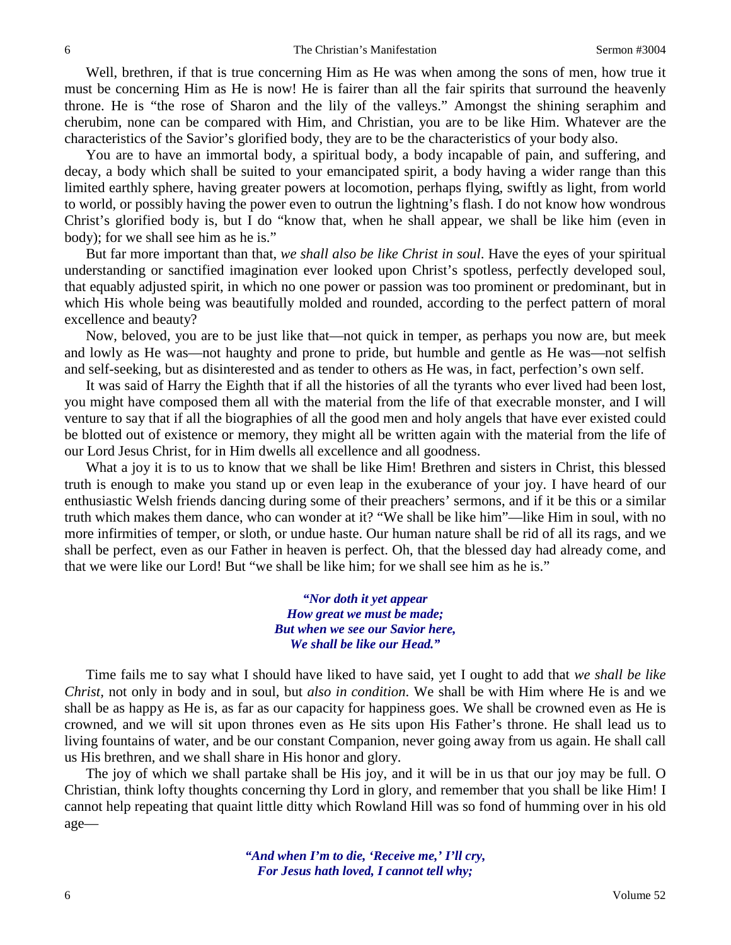Well, brethren, if that is true concerning Him as He was when among the sons of men, how true it must be concerning Him as He is now! He is fairer than all the fair spirits that surround the heavenly throne. He is "the rose of Sharon and the lily of the valleys." Amongst the shining seraphim and cherubim, none can be compared with Him, and Christian, you are to be like Him. Whatever are the characteristics of the Savior's glorified body, they are to be the characteristics of your body also.

You are to have an immortal body, a spiritual body, a body incapable of pain, and suffering, and decay, a body which shall be suited to your emancipated spirit, a body having a wider range than this limited earthly sphere, having greater powers at locomotion, perhaps flying, swiftly as light, from world to world, or possibly having the power even to outrun the lightning's flash. I do not know how wondrous Christ's glorified body is, but I do "know that, when he shall appear, we shall be like him (even in body); for we shall see him as he is."

But far more important than that, *we shall also be like Christ in soul*. Have the eyes of your spiritual understanding or sanctified imagination ever looked upon Christ's spotless, perfectly developed soul, that equably adjusted spirit, in which no one power or passion was too prominent or predominant, but in which His whole being was beautifully molded and rounded, according to the perfect pattern of moral excellence and beauty?

Now, beloved, you are to be just like that—not quick in temper, as perhaps you now are, but meek and lowly as He was—not haughty and prone to pride, but humble and gentle as He was—not selfish and self-seeking, but as disinterested and as tender to others as He was, in fact, perfection's own self.

It was said of Harry the Eighth that if all the histories of all the tyrants who ever lived had been lost, you might have composed them all with the material from the life of that execrable monster, and I will venture to say that if all the biographies of all the good men and holy angels that have ever existed could be blotted out of existence or memory, they might all be written again with the material from the life of our Lord Jesus Christ, for in Him dwells all excellence and all goodness.

What a joy it is to us to know that we shall be like Him! Brethren and sisters in Christ, this blessed truth is enough to make you stand up or even leap in the exuberance of your joy. I have heard of our enthusiastic Welsh friends dancing during some of their preachers' sermons, and if it be this or a similar truth which makes them dance, who can wonder at it? "We shall be like him"—like Him in soul, with no more infirmities of temper, or sloth, or undue haste. Our human nature shall be rid of all its rags, and we shall be perfect, even as our Father in heaven is perfect. Oh, that the blessed day had already come, and that we were like our Lord! But "we shall be like him; for we shall see him as he is."

> *"Nor doth it yet appear How great we must be made; But when we see our Savior here, We shall be like our Head."*

Time fails me to say what I should have liked to have said, yet I ought to add that *we shall be like Christ,* not only in body and in soul, but *also in condition*. We shall be with Him where He is and we shall be as happy as He is, as far as our capacity for happiness goes. We shall be crowned even as He is crowned, and we will sit upon thrones even as He sits upon His Father's throne. He shall lead us to living fountains of water, and be our constant Companion, never going away from us again. He shall call us His brethren, and we shall share in His honor and glory.

The joy of which we shall partake shall be His joy, and it will be in us that our joy may be full. O Christian, think lofty thoughts concerning thy Lord in glory, and remember that you shall be like Him! I cannot help repeating that quaint little ditty which Rowland Hill was so fond of humming over in his old age—

> *"And when I'm to die, 'Receive me,' I'll cry, For Jesus hath loved, I cannot tell why;*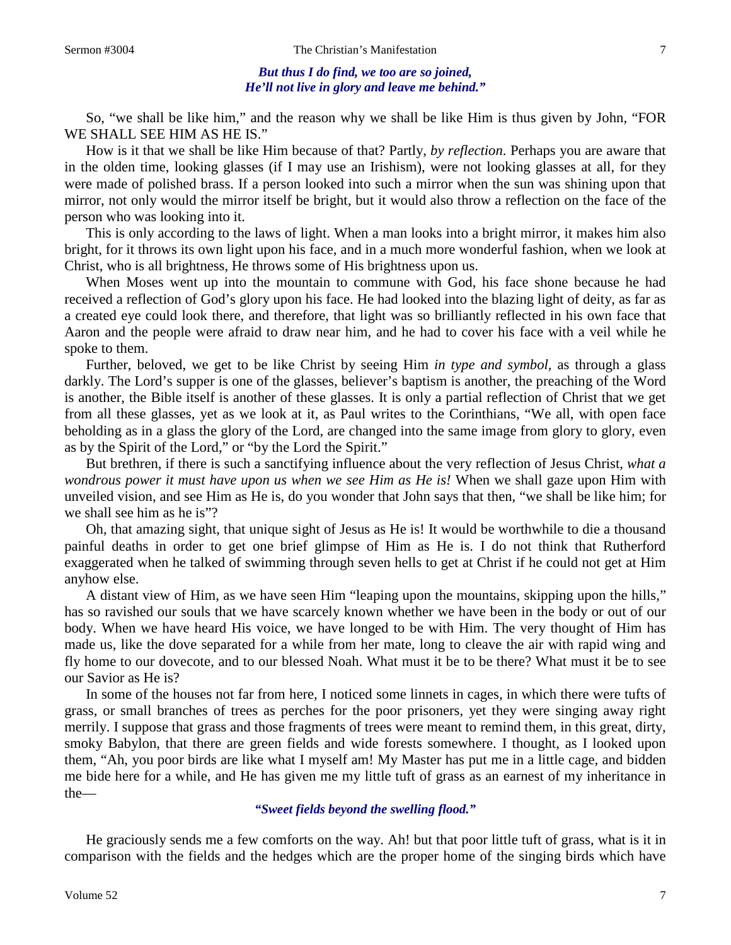#### *But thus I do find, we too are so joined, He'll not live in glory and leave me behind."*

So, "we shall be like him," and the reason why we shall be like Him is thus given by John, "FOR WE SHALL SEE HIM AS HE IS."

How is it that we shall be like Him because of that? Partly, *by reflection*. Perhaps you are aware that in the olden time, looking glasses (if I may use an Irishism), were not looking glasses at all, for they were made of polished brass. If a person looked into such a mirror when the sun was shining upon that mirror, not only would the mirror itself be bright, but it would also throw a reflection on the face of the person who was looking into it.

This is only according to the laws of light. When a man looks into a bright mirror, it makes him also bright, for it throws its own light upon his face, and in a much more wonderful fashion, when we look at Christ, who is all brightness, He throws some of His brightness upon us.

When Moses went up into the mountain to commune with God, his face shone because he had received a reflection of God's glory upon his face. He had looked into the blazing light of deity, as far as a created eye could look there, and therefore, that light was so brilliantly reflected in his own face that Aaron and the people were afraid to draw near him, and he had to cover his face with a veil while he spoke to them.

Further, beloved, we get to be like Christ by seeing Him *in type and symbol,* as through a glass darkly. The Lord's supper is one of the glasses, believer's baptism is another, the preaching of the Word is another, the Bible itself is another of these glasses. It is only a partial reflection of Christ that we get from all these glasses, yet as we look at it, as Paul writes to the Corinthians, "We all, with open face beholding as in a glass the glory of the Lord, are changed into the same image from glory to glory, even as by the Spirit of the Lord," or "by the Lord the Spirit."

But brethren, if there is such a sanctifying influence about the very reflection of Jesus Christ, *what a wondrous power it must have upon us when we see Him as He is!* When we shall gaze upon Him with unveiled vision, and see Him as He is, do you wonder that John says that then, "we shall be like him; for we shall see him as he is"?

Oh, that amazing sight, that unique sight of Jesus as He is! It would be worthwhile to die a thousand painful deaths in order to get one brief glimpse of Him as He is. I do not think that Rutherford exaggerated when he talked of swimming through seven hells to get at Christ if he could not get at Him anyhow else.

A distant view of Him, as we have seen Him "leaping upon the mountains, skipping upon the hills," has so ravished our souls that we have scarcely known whether we have been in the body or out of our body. When we have heard His voice, we have longed to be with Him. The very thought of Him has made us, like the dove separated for a while from her mate, long to cleave the air with rapid wing and fly home to our dovecote, and to our blessed Noah. What must it be to be there? What must it be to see our Savior as He is?

In some of the houses not far from here, I noticed some linnets in cages, in which there were tufts of grass, or small branches of trees as perches for the poor prisoners, yet they were singing away right merrily. I suppose that grass and those fragments of trees were meant to remind them, in this great, dirty, smoky Babylon, that there are green fields and wide forests somewhere. I thought, as I looked upon them, "Ah, you poor birds are like what I myself am! My Master has put me in a little cage, and bidden me bide here for a while, and He has given me my little tuft of grass as an earnest of my inheritance in the—

## *"Sweet fields beyond the swelling flood."*

He graciously sends me a few comforts on the way. Ah! but that poor little tuft of grass, what is it in comparison with the fields and the hedges which are the proper home of the singing birds which have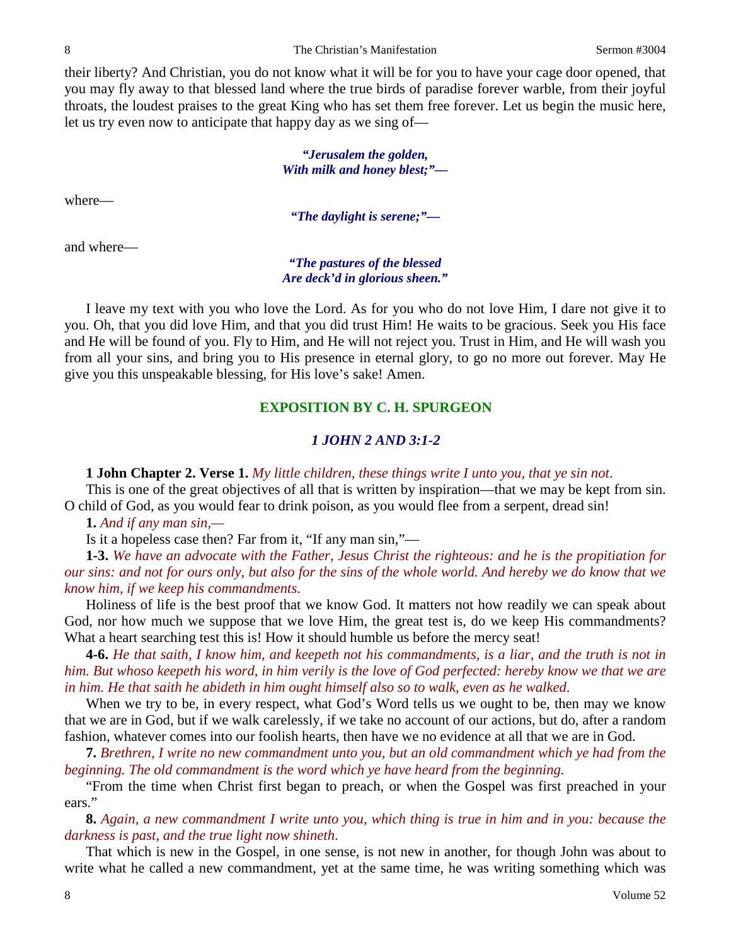their liberty? And Christian, you do not know what it will be for you to have your cage door opened, that you may fly away to that blessed land where the true birds of paradise forever warble, from their joyful throats, the loudest praises to the great King who has set them free forever. Let us begin the music here, let us try even now to anticipate that happy day as we sing of—

> *"Jerusalem the golden, With milk and honey blest;"—*

where—

*"The daylight is serene;"—*

and where—

*"The pastures of the blessed Are deck'd in glorious sheen."*

I leave my text with you who love the Lord. As for you who do not love Him, I dare not give it to you. Oh, that you did love Him, and that you did trust Him! He waits to be gracious. Seek you His face and He will be found of you. Fly to Him, and He will not reject you. Trust in Him, and He will wash you from all your sins, and bring you to His presence in eternal glory, to go no more out forever. May He give you this unspeakable blessing, for His love's sake! Amen.

### **EXPOSITION BY C. H. SPURGEON**

# *1 JOHN 2 AND 3:1-2*

**1 John Chapter 2. Verse 1.** *My little children, these things write I unto you, that ye sin not*.

This is one of the great objectives of all that is written by inspiration—that we may be kept from sin. O child of God, as you would fear to drink poison, as you would flee from a serpent, dread sin!

**1.** *And if any man sin,—*

Is it a hopeless case then? Far from it, "If any man sin,"—

**1-3.** *We have an advocate with the Father, Jesus Christ the righteous: and he is the propitiation for our sins: and not for ours only, but also for the sins of the whole world. And hereby we do know that we know him, if we keep his commandments*.

Holiness of life is the best proof that we know God. It matters not how readily we can speak about God, nor how much we suppose that we love Him, the great test is, do we keep His commandments? What a heart searching test this is! How it should humble us before the mercy seat!

**4-6.** *He that saith, I know him, and keepeth not his commandments, is a liar, and the truth is not in him. But whoso keepeth his word, in him verily is the love of God perfected: hereby know we that we are in him. He that saith he abideth in him ought himself also so to walk, even as he walked*.

When we try to be, in every respect, what God's Word tells us we ought to be, then may we know that we are in God, but if we walk carelessly, if we take no account of our actions, but do, after a random fashion, whatever comes into our foolish hearts, then have we no evidence at all that we are in God.

**7.** *Brethren, I write no new commandment unto you, but an old commandment which ye had from the beginning. The old commandment is the word which ye have heard from the beginning.*

"From the time when Christ first began to preach, or when the Gospel was first preached in your ears."

**8.** *Again, a new commandment I write unto you, which thing is true in him and in you: because the darkness is past, and the true light now shineth*.

That which is new in the Gospel, in one sense, is not new in another, for though John was about to write what he called a new commandment, yet at the same time, he was writing something which was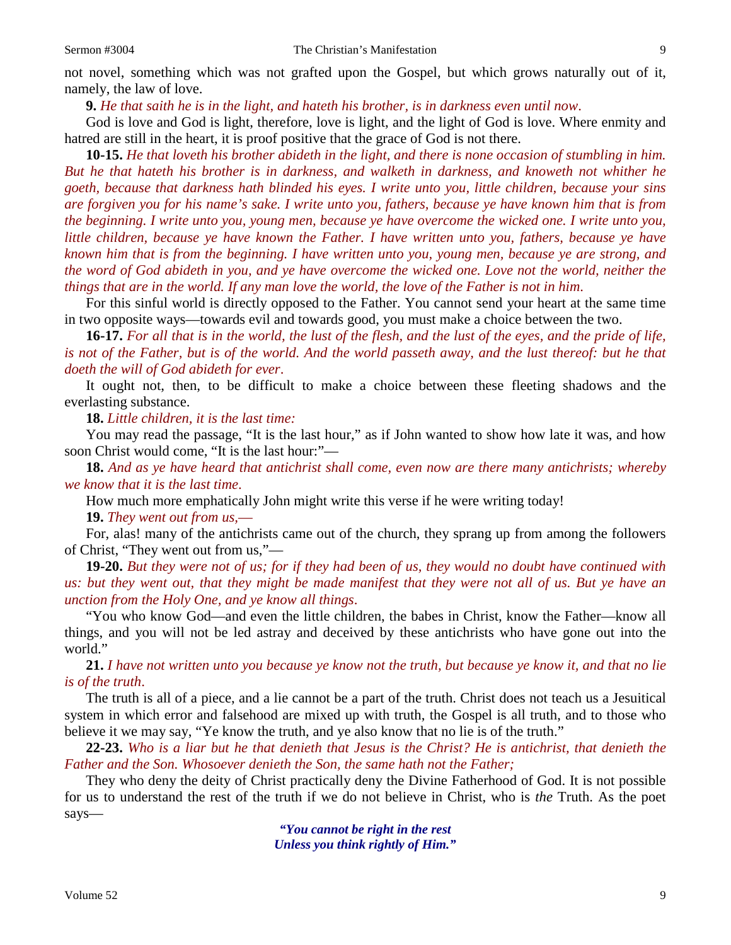not novel, something which was not grafted upon the Gospel, but which grows naturally out of it, namely, the law of love.

**9.** *He that saith he is in the light, and hateth his brother, is in darkness even until now*.

God is love and God is light, therefore, love is light, and the light of God is love. Where enmity and hatred are still in the heart, it is proof positive that the grace of God is not there.

**10-15.** *He that loveth his brother abideth in the light, and there is none occasion of stumbling in him. But he that hateth his brother is in darkness, and walketh in darkness, and knoweth not whither he goeth, because that darkness hath blinded his eyes. I write unto you, little children, because your sins are forgiven you for his name's sake. I write unto you, fathers, because ye have known him that is from the beginning. I write unto you, young men, because ye have overcome the wicked one. I write unto you, little children, because ye have known the Father. I have written unto you, fathers, because ye have known him that is from the beginning. I have written unto you, young men, because ye are strong, and the word of God abideth in you, and ye have overcome the wicked one. Love not the world, neither the things that are in the world. If any man love the world, the love of the Father is not in him*.

For this sinful world is directly opposed to the Father. You cannot send your heart at the same time in two opposite ways—towards evil and towards good, you must make a choice between the two.

**16-17.** *For all that is in the world, the lust of the flesh, and the lust of the eyes, and the pride of life, is not of the Father, but is of the world. And the world passeth away, and the lust thereof: but he that doeth the will of God abideth for ever*.

It ought not, then, to be difficult to make a choice between these fleeting shadows and the everlasting substance.

**18.** *Little children, it is the last time:*

You may read the passage, "It is the last hour," as if John wanted to show how late it was, and how soon Christ would come, "It is the last hour:"—

**18.** *And as ye have heard that antichrist shall come, even now are there many antichrists; whereby we know that it is the last time*.

How much more emphatically John might write this verse if he were writing today!

**19.** *They went out from us,*—

For, alas! many of the antichrists came out of the church, they sprang up from among the followers of Christ, "They went out from us,"—

**19-20.** *But they were not of us; for if they had been of us, they would no doubt have continued with us: but they went out, that they might be made manifest that they were not all of us. But ye have an unction from the Holy One, and ye know all things*.

"You who know God—and even the little children, the babes in Christ, know the Father—know all things, and you will not be led astray and deceived by these antichrists who have gone out into the world."

**21.** *I have not written unto you because ye know not the truth, but because ye know it, and that no lie is of the truth*.

The truth is all of a piece, and a lie cannot be a part of the truth. Christ does not teach us a Jesuitical system in which error and falsehood are mixed up with truth, the Gospel is all truth, and to those who believe it we may say, "Ye know the truth, and ye also know that no lie is of the truth."

**22-23.** *Who is a liar but he that denieth that Jesus is the Christ? He is antichrist, that denieth the Father and the Son. Whosoever denieth the Son, the same hath not the Father;*

They who deny the deity of Christ practically deny the Divine Fatherhood of God. It is not possible for us to understand the rest of the truth if we do not believe in Christ, who is *the* Truth. As the poet says—

> *"You cannot be right in the rest Unless you think rightly of Him."*